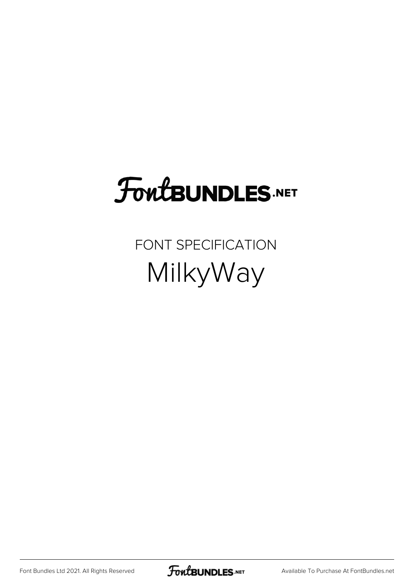# **FoutBUNDLES.NET**

FONT SPECIFICATION MilkyWay

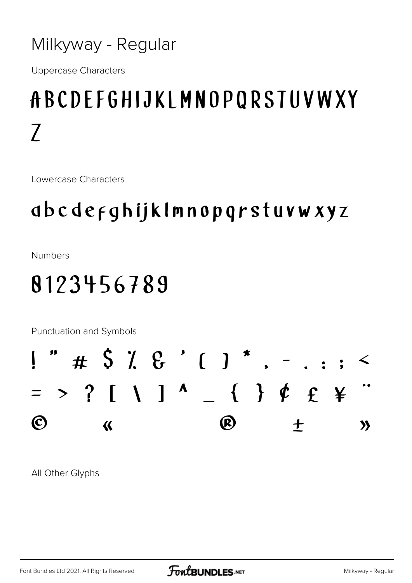#### Milkyway - Regular

**Uppercase Characters** 

## ABCDEFGHIJKLMNOPORSTUVWXY  $\overline{\prime}$

**Lowercase Characters** 

### dbcdefghijklmnopqrstuvwxyz

**Numbers** 

## 8123456789

Punctuation and Symbols



All Other Glyphs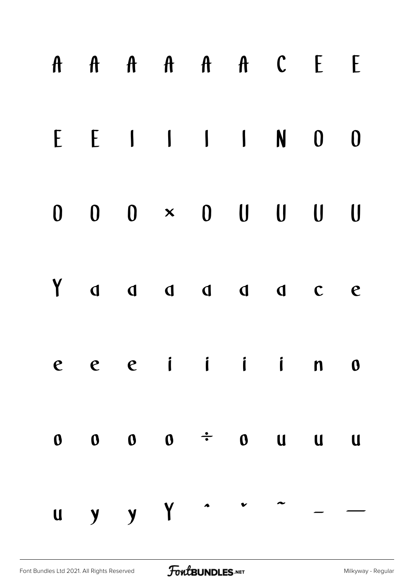|   |  |  | A A A A A A C E                             |  | E                |
|---|--|--|---------------------------------------------|--|------------------|
| E |  |  | $E \quad 1 \quad 1 \quad 1 \quad N \quad 0$ |  | $\boldsymbol{0}$ |
|   |  |  | $0$ $0$ $0$ $\times$ $0$ $0$ $0$ $0$        |  | $\bigcup$        |
|   |  |  |                                             |  | $\mathbf e$      |
|   |  |  | $e$ $e$ $i$ $i$ $i$ $n$ $n$                 |  |                  |
|   |  |  | $0 \t 0 \t 0 \t \div \t 0 \t 0 \t 1 \t 0$   |  |                  |
|   |  |  | u y y Y ^ ^ ^ - -                           |  |                  |